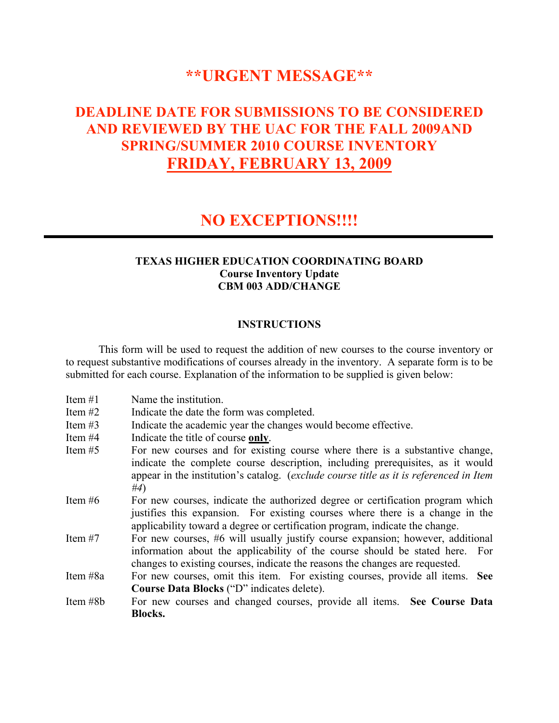# **\*\*URGENT MESSAGE\*\***

# **DEADLINE DATE FOR SUBMISSIONS TO BE CONSIDERED AND REVIEWED BY THE UAC FOR THE FALL 2009AND SPRING/SUMMER 2010 COURSE INVENTORY FRIDAY, FEBRUARY 13, 2009**

### **NO EXCEPTIONS!!!!**

### **TEXAS HIGHER EDUCATION COORDINATING BOARD Course Inventory Update CBM 003 ADD/CHANGE**

### **INSTRUCTIONS**

This form will be used to request the addition of new courses to the course inventory or to request substantive modifications of courses already in the inventory. A separate form is to be submitted for each course. Explanation of the information to be supplied is given below:

| Item $#1$ | Name the institution.                                                                                                                                                                                                                                           |
|-----------|-----------------------------------------------------------------------------------------------------------------------------------------------------------------------------------------------------------------------------------------------------------------|
| Item $#2$ | Indicate the date the form was completed.                                                                                                                                                                                                                       |
| Item $#3$ | Indicate the academic year the changes would become effective.                                                                                                                                                                                                  |
| Item $#4$ | Indicate the title of course only.                                                                                                                                                                                                                              |
| Item $#5$ | For new courses and for existing course where there is a substantive change,<br>indicate the complete course description, including prerequisites, as it would<br>appear in the institution's catalog. (exclude course title as it is referenced in Item<br>#4) |
| Item $#6$ | For new courses, indicate the authorized degree or certification program which<br>justifies this expansion. For existing courses where there is a change in the<br>applicability toward a degree or certification program, indicate the change.                 |
| Item $#7$ | For new courses, #6 will usually justify course expansion; however, additional<br>information about the applicability of the course should be stated here. For<br>changes to existing courses, indicate the reasons the changes are requested.                  |
| Item #8a  | For new courses, omit this item. For existing courses, provide all items. See                                                                                                                                                                                   |
|           | Course Data Blocks ("D" indicates delete).                                                                                                                                                                                                                      |
| Item #8b  | For new courses and changed courses, provide all items. See Course Data                                                                                                                                                                                         |
|           | Blocks.                                                                                                                                                                                                                                                         |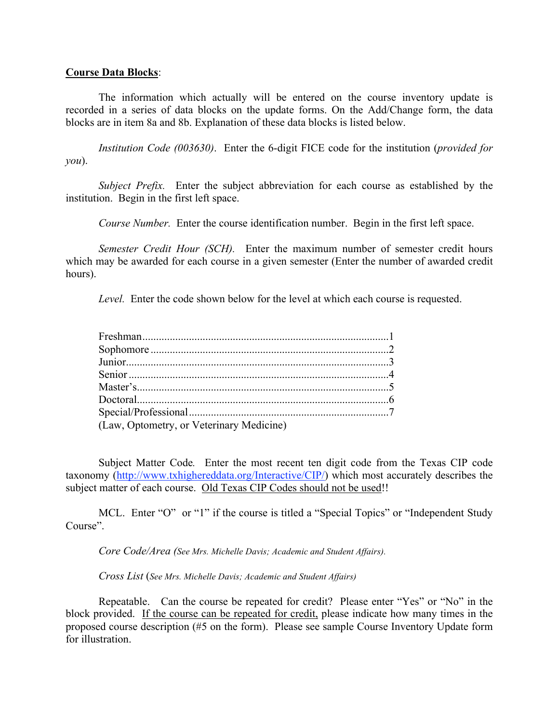#### **Course Data Blocks**:

The information which actually will be entered on the course inventory update is recorded in a series of data blocks on the update forms. On the Add/Change form, the data blocks are in item 8a and 8b. Explanation of these data blocks is listed below.

*Institution Code (003630)*. Enter the 6-digit FICE code for the institution (*provided for you*).

*Subject Prefix.* Enter the subject abbreviation for each course as established by the institution. Begin in the first left space.

*Course Number.* Enter the course identification number. Begin in the first left space.

*Semester Credit Hour (SCH).* Enter the maximum number of semester credit hours which may be awarded for each course in a given semester (Enter the number of awarded credit hours).

*Level.* Enter the code shown below for the level at which each course is requested.

| (Law, Optometry, or Veterinary Medicine) |  |
|------------------------------------------|--|

Subject Matter Code*.* Enter the most recent ten digit code from the Texas CIP code taxonomy (http://www.txhighereddata.org/Interactive/CIP/) which most accurately describes the subject matter of each course. Old Texas CIP Codes should not be used!!

MCL. Enter "O" or "1" if the course is titled a "Special Topics" or "Independent Study Course".

*Core Code/Area (See Mrs. Michelle Davis; Academic and Student Affairs).*

*Cross List* (*See Mrs. Michelle Davis; Academic and Student Affairs)*

Repeatable. Can the course be repeated for credit? Please enter "Yes" or "No" in the block provided. If the course can be repeated for credit, please indicate how many times in the proposed course description (#5 on the form). Please see sample Course Inventory Update form for illustration.